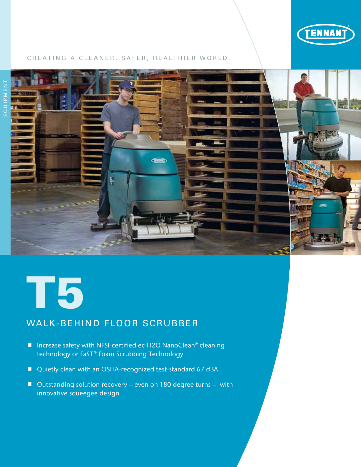

#### CREATING A CLEANER, SAFER, HEALTHIER WORLD.





# WALK-BEHIND FLOOR SCRUBBER

- Increase safety with NFSI-certified ec-H2O NanoClean® cleaning technology or FaST® Foam Scrubbing Technology
- Quietly clean with an OSHA-recognized test-standard 67 dBA
- Outstanding solution recovery even on 180 degree turns with innovative squeegee design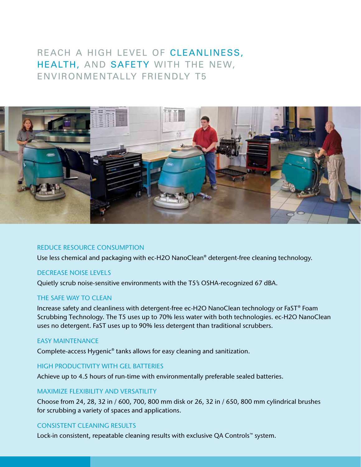# REACH A HIGH LEVEL OF CLEANLINESS, HEALTH, AND SAFETY WITH THE NEW, ENVIRONMENTALLY FRIENDLY T5



#### REDUCE RESOURCE CONSUMPTION

Use less chemical and packaging with ec-H2O NanoClean® detergent-free cleaning technology.

#### DECREASE NOISE LEVELS

Quietly scrub noise-sensitive environments with the T5's OSHA-recognized 67 dBA.

#### THE SAFE WAY TO CLEAN

Increase safety and cleanliness with detergent-free ec-H2O NanoClean technology or FaST® Foam Scrubbing Technology. The T5 uses up to 70% less water with both technologies. ec-H2O NanoClean uses no detergent. FaST uses up to 90% less detergent than traditional scrubbers.

#### EASY MAINTENANCE

Complete-access Hygenic® tanks allows for easy cleaning and sanitization.

### HIGH PRODUCTIVITY WITH GEL BATTERIES

Achieve up to 4.5 hours of run-time with environmentally preferable sealed batteries.

#### MAXIMIZE FLEXIBILITY AND VERSATILITY

Choose from 24, 28, 32 in / 600, 700, 800 mm disk or 26, 32 in / 650, 800 mm cylindrical brushes for scrubbing a variety of spaces and applications.

#### CONSISTENT CLEANING RESULTS

Lock-in consistent, repeatable cleaning results with exclusive QA Controls™ system.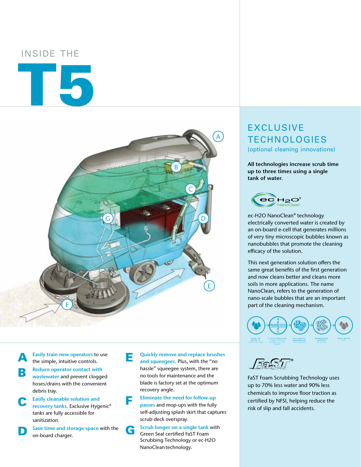## INSIDE THE

# T5



Easily train new operators to use the simple, intuitive controls.

- Reduce operator contact with wastewater and prevent clogged hoses/drains with the convenient debris tray.
- **C** Easily cleanable solution and recovery tanks. Exclusive Hygenic<sup>®</sup> tanks are fully accessible for sanitization.
	- Save time and storage space with the on-board charger.

**E** Quickly remove and replace brushes and squeegees. Plus, with the "no hassle" squeegee system, there are no tools for maintenance and the blade is factory set at the optimum recovery angle.

**F** Eliminate the need for follow-up<br>passes and mop-ups with the fully self-adjusting splash skirt that captures scrub deck overspray.

G Scrub longer on a single tank with Green Seal certified FaST Foam Scrubbing Technology or ec-H2O NanoClean technology.

# EXCLUSIVE TECHNOLOGIES

(optional cleaning innovations)

**All technologies increase scrub time up to three times using a single tank of water.**



ec-H2O NanoClean® technology electrically converted water is created by an on-board e-cell that generates millions of very tiny microscopic bubbles known as nanobubbles that promote the cleaning efficacy of the solution.

This next generation solution offers the same great benefits of the first generation and now cleans better and cleans more soils in more applications. The name NanoClean, refers to the generation of nano-scale bubbles that are an important part of the cleaning mechanism.



FaST Foam Scrubbing Technology uses up to 70% less water and 90% less chemicals to improve floor traction as certified by NFSI, helping reduce the risk of slip and fall accidents.